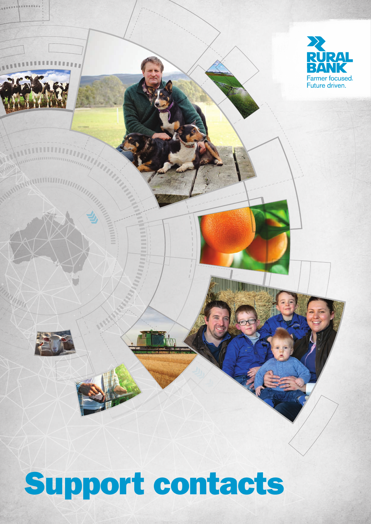

# Support contacts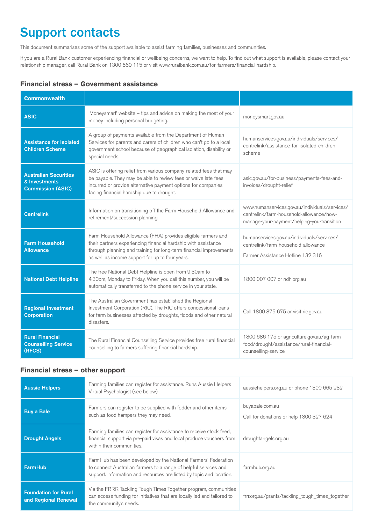# Support contacts

This document summarises some of the support available to assist farming families, businesses and communities.

If you are a Rural Bank customer experiencing financial or wellbeing concerns, we want to help. To find out what support is available, please contact your relationship manager, call Rural Bank on 1300 660 115 or visit www.ruralbank.com.au/for-farmers/financial-hardship.

#### **Financial stress – Government assistance**

| <b>Commonwealth</b>                                                       |                                                                                                                                                                                                                                                         |                                                                                                                                          |
|---------------------------------------------------------------------------|---------------------------------------------------------------------------------------------------------------------------------------------------------------------------------------------------------------------------------------------------------|------------------------------------------------------------------------------------------------------------------------------------------|
| <b>ASIC</b>                                                               | 'Moneysmart' website - tips and advice on making the most of your<br>money including personal budgeting.                                                                                                                                                | moneysmart.gov.au                                                                                                                        |
| <b>Assistance for Isolated</b><br><b>Children Scheme</b>                  | A group of payments available from the Department of Human<br>Services for parents and carers of children who can't go to a local<br>government school because of geographical isolation, disability or<br>special needs.                               | humanservices.gov.au/individuals/services/<br>centrelink/assistance-for-isolated-children-<br>scheme                                     |
| <b>Australian Securities</b><br>& Investments<br><b>Commission (ASIC)</b> | ASIC is offering relief from various company-related fees that may<br>be payable. They may be able to review fees or waive late fees<br>incurred or provide alternative payment options for companies<br>facing financial hardship due to drought.      | asic.gov.au/for-business/payments-fees-and-<br>invoices/drought-relief                                                                   |
| <b>Centrelink</b>                                                         | Information on transitioning off the Farm Household Allowance and<br>retirement/succession planning.                                                                                                                                                    | www.humanservices.gov.au/individuals/services/<br>centrelink/farm-household-allowance/how-<br>manage-your-payment/helping-you-transition |
| <b>Farm Household</b><br><b>Allowance</b>                                 | Farm Household Allowance (FHA) provides eligible farmers and<br>their partners experiencing financial hardship with assistance<br>through planning and training for long-term financial improvements<br>as well as income support for up to four years. | humanservices.gov.au/individuals/services/<br>centrelink/farm-household-allowance<br>Farmer Assistance Hotline 132 316                   |
| <b>National Debt Helpline</b>                                             | The free National Debt Helpline is open from 9:30am to<br>4.30pm, Monday to Friday. When you call this number, you will be<br>automatically transferred to the phone service in your state.                                                             | 1800 007 007 or ndh.org.au                                                                                                               |
| <b>Regional Investment</b><br><b>Corporation</b>                          | The Australian Government has established the Regional<br>Investment Corporation (RIC). The RIC offers concessional loans<br>for farm businesses affected by droughts, floods and other natural<br>disasters.                                           | Call 1800 875 675 or visit ric.gov.au                                                                                                    |
| <b>Rural Financial</b><br><b>Counselling Service</b><br>(RFCS)            | The Rural Financial Counselling Service provides free rural financial<br>counselling to farmers suffering financial hardship.                                                                                                                           | 1800 686 175 or agriculture.gov.au/ag-farm-<br>food/drought/assistance/rural-financial-<br>counselling-service                           |

#### **Financial stress – other support**

| <b>Aussie Helpers</b>                               | Farming families can register for assistance. Runs Aussie Helpers<br>Virtual Psychologist (see below).                                                                                                     | aussiehelpers.org.au or phone 1300 665 232                 |
|-----------------------------------------------------|------------------------------------------------------------------------------------------------------------------------------------------------------------------------------------------------------------|------------------------------------------------------------|
| <b>Buy a Bale</b>                                   | Farmers can register to be supplied with fodder and other items<br>such as food hampers they may need.                                                                                                     | buyabale.com.au<br>Call for donations or help 1300 327 624 |
| <b>Drought Angels</b>                               | Farming families can register for assistance to receive stock feed,<br>financial support via pre-paid visas and local produce vouchers from<br>within their communities.                                   | droughtangels.org.au                                       |
| <b>FarmHub</b>                                      | FarmHub has been developed by the National Farmers' Federation<br>to connect Australian farmers to a range of helpful services and<br>support. Information and resources are listed by topic and location. | farmhub.org.au                                             |
| <b>Foundation for Rural</b><br>and Regional Renewal | Via the FRRR Tackling Tough Times Together program, communities<br>can access funding for initiatives that are locally led and tailored to<br>the community's needs.                                       | frrr.org.au/grants/tackling tough times together           |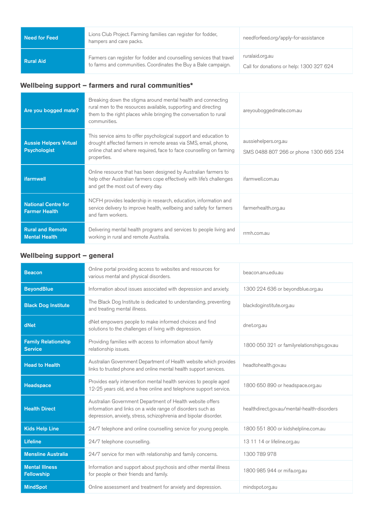| Need for Feed    | Lions Club Project. Farming families can register for fodder,<br>hampers and care packs.                                               | needforfeed.org/apply-for-assistance                        |
|------------------|----------------------------------------------------------------------------------------------------------------------------------------|-------------------------------------------------------------|
| <b>Rural Aid</b> | Farmers can register for fodder and counselling services that travel<br>to farms and communities. Coordinates the Buy a Bale campaign. | ruralaid.org.au<br>Call for donations or help: 1300 327 624 |

## **Wellbeing support – farmers and rural communities\***

| Are you bogged mate?                                 | Breaking down the stigma around mental health and connecting<br>rural men to the resources available, supporting and directing<br>them to the right places while bringing the conversation to rural<br>communities.        | areyouboggedmate.com.au                                        |
|------------------------------------------------------|----------------------------------------------------------------------------------------------------------------------------------------------------------------------------------------------------------------------------|----------------------------------------------------------------|
| <b>Aussie Helpers Virtual</b><br><b>Psychologist</b> | This service aims to offer psychological support and education to<br>drought affected farmers in remote areas via SMS, email, phone,<br>online chat and where required, face to face counselling on farming<br>properties. | aussiehelpers.org.au<br>SMS 0488 807 266 or phone 1300 665 234 |
| <b>ifarmwell</b>                                     | Online resource that has been designed by Australian farmers to<br>help other Australian farmers cope effectively with life's challenges<br>and get the most out of every day.                                             | ifarmwell.com.au                                               |
| <b>National Centre for</b><br><b>Farmer Health</b>   | NCFH provides leadership in research, education, information and<br>service delivery to improve health, wellbeing and safety for farmers<br>and farm workers.                                                              | farmerhealth.org.au                                            |
| <b>Rural and Remote</b><br><b>Mental Health</b>      | Delivering mental health programs and services to people living and<br>working in rural and remote Australia.                                                                                                              | rrmh.com.au                                                    |

### **Wellbeing support – general**

| <b>Beacon</b>                                | Online portal providing access to websites and resources for<br>various mental and physical disorders.                                                                                      | beacon.anu.edu.au                           |
|----------------------------------------------|---------------------------------------------------------------------------------------------------------------------------------------------------------------------------------------------|---------------------------------------------|
| <b>BeyondBlue</b>                            | Information about issues associated with depression and anxiety.                                                                                                                            | 1300 224 636 or beyondblue.org.au           |
| <b>Black Dog Institute</b>                   | The Black Dog Institute is dedicated to understanding, preventing<br>and treating mental illness.                                                                                           | blackdoginstitute.org.au                    |
| dNet                                         | dNet empowers people to make informed choices and find<br>solutions to the challenges of living with depression.                                                                            | dnet.org.au                                 |
| <b>Family Relationship</b><br><b>Service</b> | Providing families with access to information about family<br>relationship issues.                                                                                                          | 1800 050 321 or familyrelationships.gov.au  |
| <b>Head to Health</b>                        | Australian Government Department of Health website which provides<br>links to trusted phone and online mental health support services.                                                      | headtohealth.gov.au                         |
| <b>Headspace</b>                             | Provides early intervention mental health services to people aged<br>12-25 years old, and a free online and telephone support service.                                                      | 1800 650 890 or headspace.org.au            |
| <b>Health Direct</b>                         | Australian Government Department of Health website offers<br>information and links on a wide range of disorders such as<br>depression, anxiety, stress, schizophrenia and bipolar disorder. | healthdirect.gov.au/mental-health-disorders |
| <b>Kids Help Line</b>                        | 24/7 telephone and online counselling service for young people.                                                                                                                             | 1800 551 800 or kidshelpline.com.au         |
| <b>Lifeline</b>                              | 24/7 telephone counselling.                                                                                                                                                                 | 13 11 14 or lifeline.org.au                 |
| <b>Mensline Australia</b>                    | 24/7 service for men with relationship and family concerns.                                                                                                                                 | 1300 789 978                                |
| <b>Mental Illness</b><br><b>Fellowship</b>   | Information and support about psychosis and other mental illness<br>for people or their friends and family.                                                                                 | 1800 985 944 or mifa.org.au                 |
| <b>MindSpot</b>                              | Online assessment and treatment for anxiety and depression.                                                                                                                                 | mindspot.org.au                             |